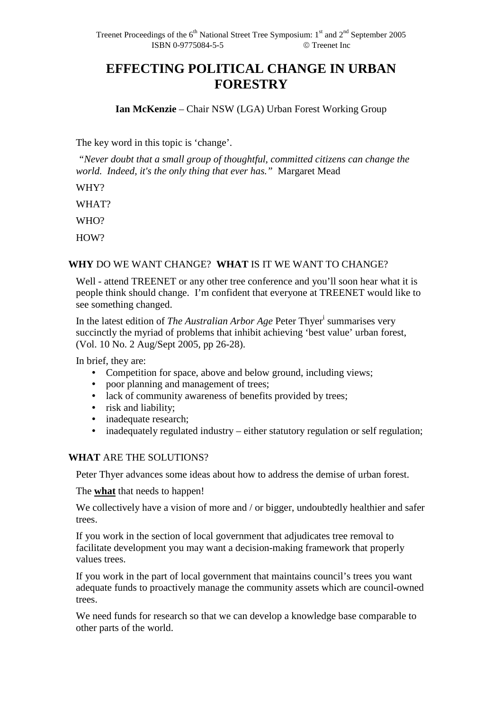# **EFFECTING POLITICAL CHANGE IN URBAN FORESTRY**

**Ian McKenzie** – Chair NSW (LGA) Urban Forest Working Group

The key word in this topic is 'change'.

 *"Never doubt that a small group of thoughtful, committed citizens can change the world. Indeed, it's the only thing that ever has."* Margaret Mead

WHY?

WHAT?

WHO?

HOW?

## **WHY** DO WE WANT CHANGE? **WHAT** IS IT WE WANT TO CHANGE?

Well - attend TREENET or any other tree conference and you'll soon hear what it is people think should change. I'm confident that everyone at TREENET would like to see something changed.

In the latest edition of *The Australian Arbor Age* Peter Thyer<sup>i</sup> summarises very succinctly the myriad of problems that inhibit achieving 'best value' urban forest, (Vol. 10 No. 2 Aug/Sept 2005, pp 26-28).

In brief, they are:

- Competition for space, above and below ground, including views;
- poor planning and management of trees;
- lack of community awareness of benefits provided by trees;
- risk and liability;
- inadequate research;
- inadequately regulated industry either statutory regulation or self regulation;

## **WHAT** ARE THE SOLUTIONS?

Peter Thyer advances some ideas about how to address the demise of urban forest.

The **what** that needs to happen!

We collectively have a vision of more and / or bigger, undoubtedly healthier and safer trees.

If you work in the section of local government that adjudicates tree removal to facilitate development you may want a decision-making framework that properly values trees.

If you work in the part of local government that maintains council's trees you want adequate funds to proactively manage the community assets which are council-owned trees.

We need funds for research so that we can develop a knowledge base comparable to other parts of the world.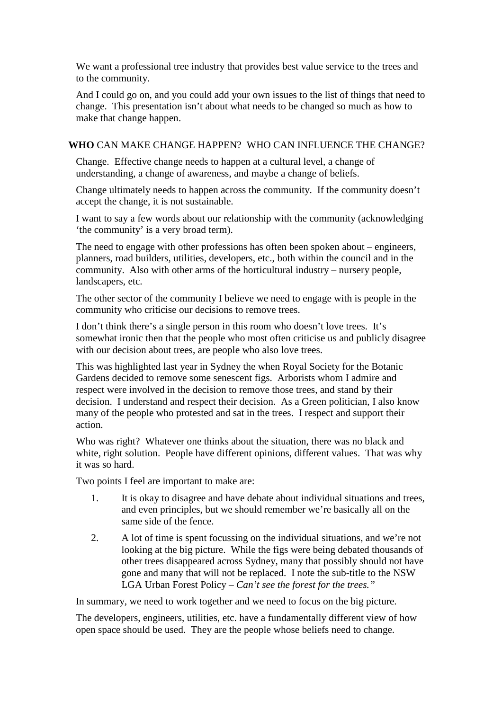We want a professional tree industry that provides best value service to the trees and to the community.

And I could go on, and you could add your own issues to the list of things that need to change. This presentation isn't about what needs to be changed so much as how to make that change happen.

# **WHO** CAN MAKE CHANGE HAPPEN? WHO CAN INFLUENCE THE CHANGE?

Change. Effective change needs to happen at a cultural level, a change of understanding, a change of awareness, and maybe a change of beliefs.

Change ultimately needs to happen across the community. If the community doesn't accept the change, it is not sustainable.

I want to say a few words about our relationship with the community (acknowledging 'the community' is a very broad term).

The need to engage with other professions has often been spoken about – engineers, planners, road builders, utilities, developers, etc., both within the council and in the community. Also with other arms of the horticultural industry – nursery people, landscapers, etc.

The other sector of the community I believe we need to engage with is people in the community who criticise our decisions to remove trees.

I don't think there's a single person in this room who doesn't love trees. It's somewhat ironic then that the people who most often criticise us and publicly disagree with our decision about trees, are people who also love trees.

This was highlighted last year in Sydney the when Royal Society for the Botanic Gardens decided to remove some senescent figs. Arborists whom I admire and respect were involved in the decision to remove those trees, and stand by their decision. I understand and respect their decision. As a Green politician, I also know many of the people who protested and sat in the trees. I respect and support their action.

Who was right? Whatever one thinks about the situation, there was no black and white, right solution. People have different opinions, different values. That was why it was so hard.

Two points I feel are important to make are:

- 1. It is okay to disagree and have debate about individual situations and trees, and even principles, but we should remember we're basically all on the same side of the fence.
- 2. A lot of time is spent focussing on the individual situations, and we're not looking at the big picture. While the figs were being debated thousands of other trees disappeared across Sydney, many that possibly should not have gone and many that will not be replaced. I note the sub-title to the NSW LGA Urban Forest Policy – *Can't see the forest for the trees."*

In summary, we need to work together and we need to focus on the big picture.

The developers, engineers, utilities, etc. have a fundamentally different view of how open space should be used. They are the people whose beliefs need to change.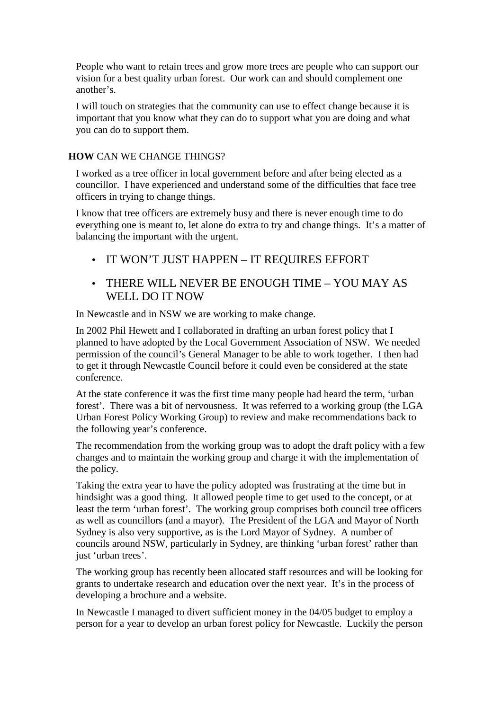People who want to retain trees and grow more trees are people who can support our vision for a best quality urban forest. Our work can and should complement one another's.

I will touch on strategies that the community can use to effect change because it is important that you know what they can do to support what you are doing and what you can do to support them.

## **HOW** CAN WE CHANGE THINGS?

I worked as a tree officer in local government before and after being elected as a councillor. I have experienced and understand some of the difficulties that face tree officers in trying to change things.

I know that tree officers are extremely busy and there is never enough time to do everything one is meant to, let alone do extra to try and change things. It's a matter of balancing the important with the urgent.

- IT WON'T JUST HAPPEN IT REQUIRES EFFORT
- THERE WILL NEVER BE ENOUGH TIME YOU MAY AS WELL DO IT NOW

In Newcastle and in NSW we are working to make change.

In 2002 Phil Hewett and I collaborated in drafting an urban forest policy that I planned to have adopted by the Local Government Association of NSW. We needed permission of the council's General Manager to be able to work together. I then had to get it through Newcastle Council before it could even be considered at the state conference.

At the state conference it was the first time many people had heard the term, 'urban forest'. There was a bit of nervousness. It was referred to a working group (the LGA Urban Forest Policy Working Group) to review and make recommendations back to the following year's conference.

The recommendation from the working group was to adopt the draft policy with a few changes and to maintain the working group and charge it with the implementation of the policy.

Taking the extra year to have the policy adopted was frustrating at the time but in hindsight was a good thing. It allowed people time to get used to the concept, or at least the term 'urban forest'. The working group comprises both council tree officers as well as councillors (and a mayor). The President of the LGA and Mayor of North Sydney is also very supportive, as is the Lord Mayor of Sydney. A number of councils around NSW, particularly in Sydney, are thinking 'urban forest' rather than just 'urban trees'.

The working group has recently been allocated staff resources and will be looking for grants to undertake research and education over the next year. It's in the process of developing a brochure and a website.

In Newcastle I managed to divert sufficient money in the 04/05 budget to employ a person for a year to develop an urban forest policy for Newcastle. Luckily the person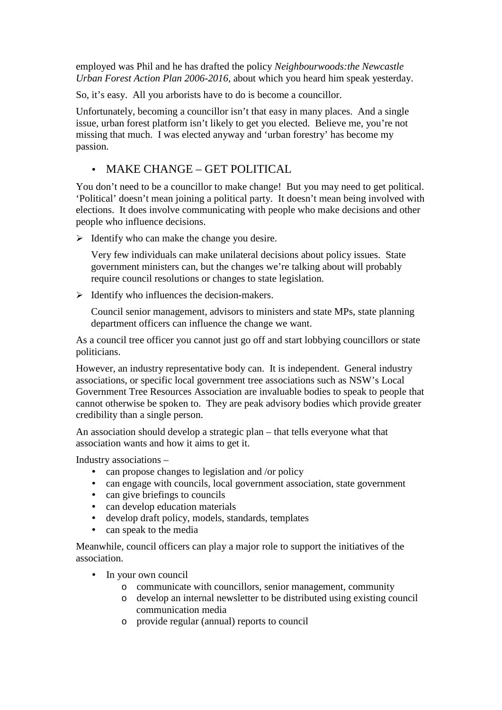employed was Phil and he has drafted the policy *Neighbourwoods:the Newcastle Urban Forest Action Plan 2006-2016,* about which you heard him speak yesterday.

So, it's easy. All you arborists have to do is become a councillor.

Unfortunately, becoming a councillor isn't that easy in many places. And a single issue, urban forest platform isn't likely to get you elected. Believe me, you're not missing that much. I was elected anyway and 'urban forestry' has become my passion.

# • MAKE CHANGE – GET POLITICAL

You don't need to be a councillor to make change! But you may need to get political. 'Political' doesn't mean joining a political party. It doesn't mean being involved with elections. It does involve communicating with people who make decisions and other people who influence decisions.

 $\triangleright$  Identify who can make the change you desire.

Very few individuals can make unilateral decisions about policy issues. State government ministers can, but the changes we're talking about will probably require council resolutions or changes to state legislation.

 $\triangleright$  Identify who influences the decision-makers.

Council senior management, advisors to ministers and state MPs, state planning department officers can influence the change we want.

As a council tree officer you cannot just go off and start lobbying councillors or state politicians.

However, an industry representative body can. It is independent. General industry associations, or specific local government tree associations such as NSW's Local Government Tree Resources Association are invaluable bodies to speak to people that cannot otherwise be spoken to. They are peak advisory bodies which provide greater credibility than a single person.

An association should develop a strategic plan – that tells everyone what that association wants and how it aims to get it.

Industry associations –

- can propose changes to legislation and /or policy
- can engage with councils, local government association, state government
- can give briefings to councils
- can develop education materials
- develop draft policy, models, standards, templates
- can speak to the media

Meanwhile, council officers can play a major role to support the initiatives of the association.

- In your own council
	- o communicate with councillors, senior management, community
	- o develop an internal newsletter to be distributed using existing council communication media
	- o provide regular (annual) reports to council